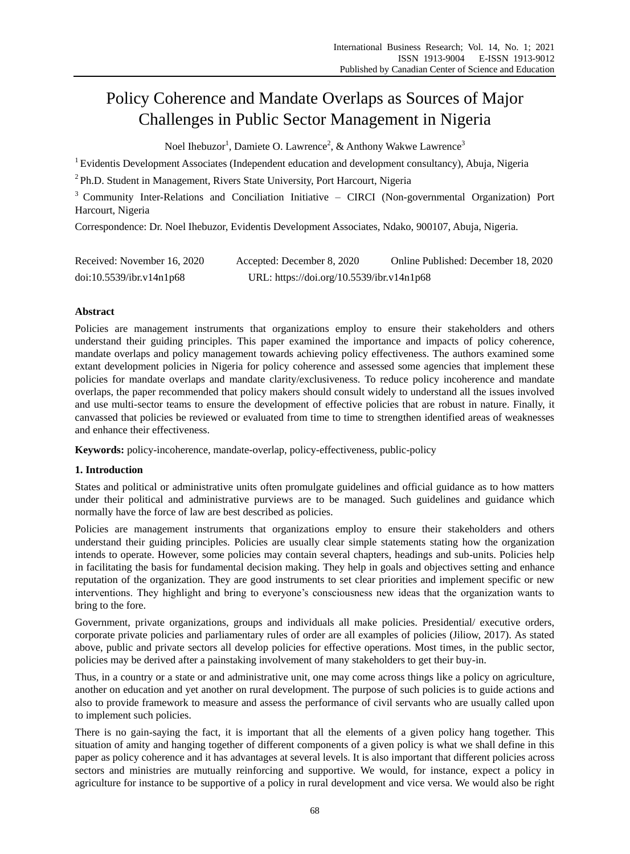# Policy Coherence and Mandate Overlaps as Sources of Major Challenges in Public Sector Management in Nigeria

Noel Ihebuzor<sup>1</sup>, Damiete O. Lawrence<sup>2</sup>, & Anthony Wakwe Lawrence<sup>3</sup>

<sup>1</sup> Evidentis Development Associates (Independent education and development consultancy), Abuja, Nigeria

<sup>2</sup> Ph.D. Student in Management, Rivers State University, Port Harcourt, Nigeria

<sup>3</sup> Community Inter-Relations and Conciliation Initiative – CIRCI (Non-governmental Organization) Port Harcourt, Nigeria

Correspondence: Dr. Noel Ihebuzor, Evidentis Development Associates, Ndako, 900107, Abuja, Nigeria.

| Received: November 16, 2020 | Accepted: December 8, 2020                | Online Published: December 18, 2020 |
|-----------------------------|-------------------------------------------|-------------------------------------|
| doi:10.5539/ibr.v14n1p68    | URL: https://doi.org/10.5539/ibr.v14n1p68 |                                     |

# **Abstract**

Policies are management instruments that organizations employ to ensure their stakeholders and others understand their guiding principles. This paper examined the importance and impacts of policy coherence, mandate overlaps and policy management towards achieving policy effectiveness. The authors examined some extant development policies in Nigeria for policy coherence and assessed some agencies that implement these policies for mandate overlaps and mandate clarity/exclusiveness. To reduce policy incoherence and mandate overlaps, the paper recommended that policy makers should consult widely to understand all the issues involved and use multi-sector teams to ensure the development of effective policies that are robust in nature. Finally, it canvassed that policies be reviewed or evaluated from time to time to strengthen identified areas of weaknesses and enhance their effectiveness.

**Keywords:** policy-incoherence, mandate-overlap, policy-effectiveness, public-policy

# **1. Introduction**

States and political or administrative units often promulgate guidelines and official guidance as to how matters under their political and administrative purviews are to be managed. Such guidelines and guidance which normally have the force of law are best described as policies.

Policies are management instruments that organizations employ to ensure their stakeholders and others understand their guiding principles. Policies are usually clear simple statements stating how the organization intends to operate. However, some policies may contain several chapters, headings and sub-units. Policies help in facilitating the basis for fundamental decision making. They help in goals and objectives setting and enhance reputation of the organization. They are good instruments to set clear priorities and implement specific or new interventions. They highlight and bring to everyone's consciousness new ideas that the organization wants to bring to the fore.

Government, private organizations, groups and individuals all make policies. Presidential/ executive orders, corporate private policies and parliamentary rules of order are all examples of policies (Jiliow, 2017). As stated above, public and private sectors all develop policies for effective operations. Most times, in the public sector, policies may be derived after a painstaking involvement of many stakeholders to get their buy-in.

Thus, in a country or a state or and administrative unit, one may come across things like a policy on agriculture, another on education and yet another on rural development. The purpose of such policies is to guide actions and also to provide framework to measure and assess the performance of civil servants who are usually called upon to implement such policies.

There is no gain-saying the fact, it is important that all the elements of a given policy hang together. This situation of amity and hanging together of different components of a given policy is what we shall define in this paper as policy coherence and it has advantages at several levels. It is also important that different policies across sectors and ministries are mutually reinforcing and supportive. We would, for instance, expect a policy in agriculture for instance to be supportive of a policy in rural development and vice versa. We would also be right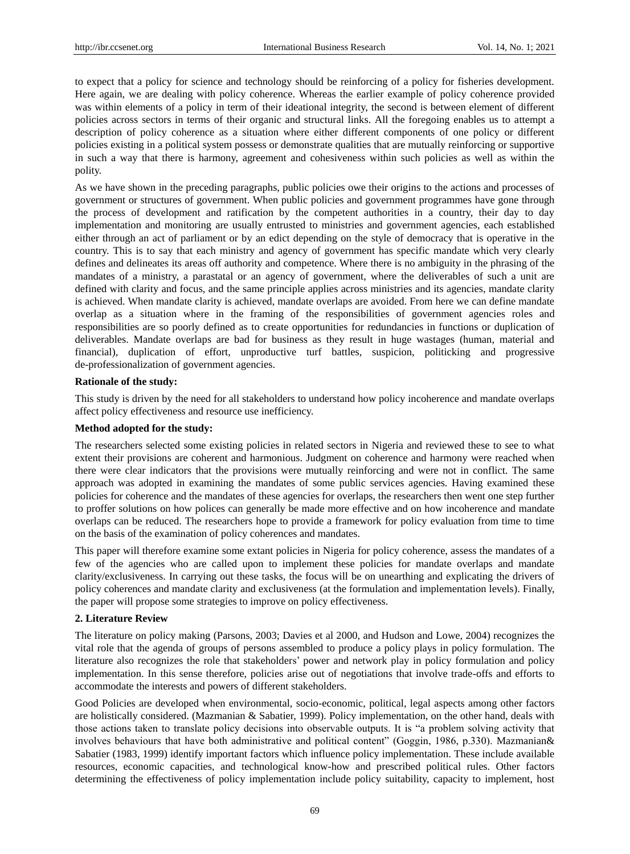to expect that a policy for science and technology should be reinforcing of a policy for fisheries development. Here again, we are dealing with policy coherence. Whereas the earlier example of policy coherence provided was within elements of a policy in term of their ideational integrity, the second is between element of different policies across sectors in terms of their organic and structural links. All the foregoing enables us to attempt a description of policy coherence as a situation where either different components of one policy or different policies existing in a political system possess or demonstrate qualities that are mutually reinforcing or supportive in such a way that there is harmony, agreement and cohesiveness within such policies as well as within the polity.

As we have shown in the preceding paragraphs, public policies owe their origins to the actions and processes of government or structures of government. When public policies and government programmes have gone through the process of development and ratification by the competent authorities in a country, their day to day implementation and monitoring are usually entrusted to ministries and government agencies, each established either through an act of parliament or by an edict depending on the style of democracy that is operative in the country. This is to say that each ministry and agency of government has specific mandate which very clearly defines and delineates its areas off authority and competence. Where there is no ambiguity in the phrasing of the mandates of a ministry, a parastatal or an agency of government, where the deliverables of such a unit are defined with clarity and focus, and the same principle applies across ministries and its agencies, mandate clarity is achieved. When mandate clarity is achieved, mandate overlaps are avoided. From here we can define mandate overlap as a situation where in the framing of the responsibilities of government agencies roles and responsibilities are so poorly defined as to create opportunities for redundancies in functions or duplication of deliverables. Mandate overlaps are bad for business as they result in huge wastages (human, material and financial), duplication of effort, unproductive turf battles, suspicion, politicking and progressive de-professionalization of government agencies.

#### **Rationale of the study:**

This study is driven by the need for all stakeholders to understand how policy incoherence and mandate overlaps affect policy effectiveness and resource use inefficiency.

#### **Method adopted for the study:**

The researchers selected some existing policies in related sectors in Nigeria and reviewed these to see to what extent their provisions are coherent and harmonious. Judgment on coherence and harmony were reached when there were clear indicators that the provisions were mutually reinforcing and were not in conflict. The same approach was adopted in examining the mandates of some public services agencies. Having examined these policies for coherence and the mandates of these agencies for overlaps, the researchers then went one step further to proffer solutions on how polices can generally be made more effective and on how incoherence and mandate overlaps can be reduced. The researchers hope to provide a framework for policy evaluation from time to time on the basis of the examination of policy coherences and mandates.

This paper will therefore examine some extant policies in Nigeria for policy coherence, assess the mandates of a few of the agencies who are called upon to implement these policies for mandate overlaps and mandate clarity/exclusiveness. In carrying out these tasks, the focus will be on unearthing and explicating the drivers of policy coherences and mandate clarity and exclusiveness (at the formulation and implementation levels). Finally, the paper will propose some strategies to improve on policy effectiveness.

#### **2. Literature Review**

The literature on policy making (Parsons, 2003; Davies et al 2000, and Hudson and Lowe, 2004) recognizes the vital role that the agenda of groups of persons assembled to produce a policy plays in policy formulation. The literature also recognizes the role that stakeholders' power and network play in policy formulation and policy implementation. In this sense therefore, policies arise out of negotiations that involve trade-offs and efforts to accommodate the interests and powers of different stakeholders.

Good Policies are developed when environmental, socio-economic, political, legal aspects among other factors are holistically considered. (Mazmanian & Sabatier, 1999). Policy implementation, on the other hand, deals with those actions taken to translate policy decisions into observable outputs. It is "a problem solving activity that involves behaviours that have both administrative and political content" (Goggin, 1986, p.330). Mazmanian& Sabatier (1983, 1999) identify important factors which influence policy implementation. These include available resources, economic capacities, and technological know-how and prescribed political rules. Other factors determining the effectiveness of policy implementation include policy suitability, capacity to implement, host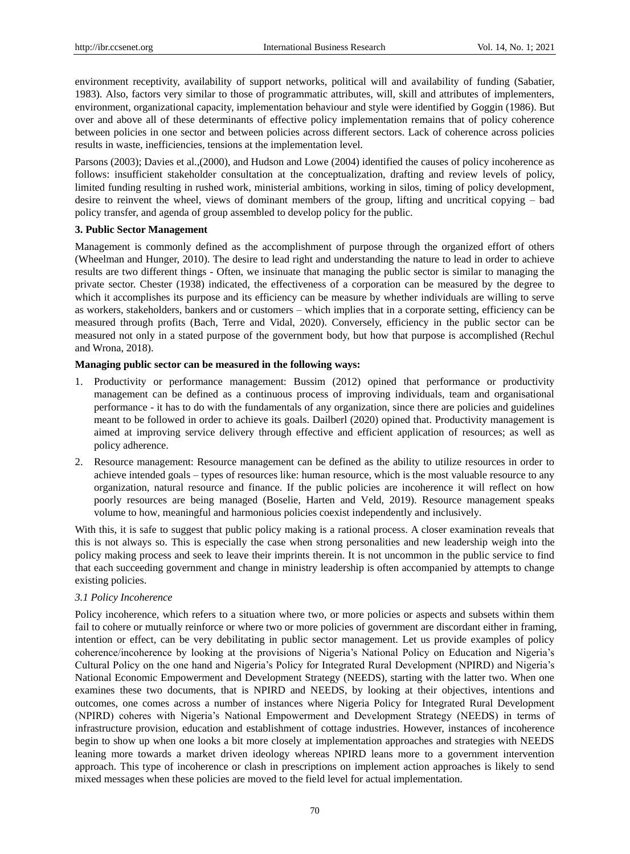environment receptivity, availability of support networks, political will and availability of funding (Sabatier, 1983). Also, factors very similar to those of programmatic attributes, will, skill and attributes of implementers, environment, organizational capacity, implementation behaviour and style were identified by Goggin (1986). But over and above all of these determinants of effective policy implementation remains that of policy coherence between policies in one sector and between policies across different sectors. Lack of coherence across policies results in waste, inefficiencies, tensions at the implementation level.

Parsons (2003); Davies et al.,(2000), and Hudson and Lowe (2004) identified the causes of policy incoherence as follows: insufficient stakeholder consultation at the conceptualization, drafting and review levels of policy, limited funding resulting in rushed work, ministerial ambitions, working in silos, timing of policy development, desire to reinvent the wheel, views of dominant members of the group, lifting and uncritical copying – bad policy transfer, and agenda of group assembled to develop policy for the public.

## **3. Public Sector Management**

Management is commonly defined as the accomplishment of purpose through the organized effort of others (Wheelman and Hunger, 2010). The desire to lead right and understanding the nature to lead in order to achieve results are two different things - Often, we insinuate that managing the public sector is similar to managing the private sector. Chester (1938) indicated, the effectiveness of a corporation can be measured by the degree to which it accomplishes its purpose and its efficiency can be measure by whether individuals are willing to serve as workers, stakeholders, bankers and or customers – which implies that in a corporate setting, efficiency can be measured through profits (Bach, Terre and Vidal, 2020). Conversely, efficiency in the public sector can be measured not only in a stated purpose of the government body, but how that purpose is accomplished (Rechul and Wrona, 2018).

## **Managing public sector can be measured in the following ways:**

- 1. Productivity or performance management: Bussim (2012) opined that performance or productivity management can be defined as a continuous process of improving individuals, team and organisational performance - it has to do with the fundamentals of any organization, since there are policies and guidelines meant to be followed in order to achieve its goals. Dailberl (2020) opined that. Productivity management is aimed at improving service delivery through effective and efficient application of resources; as well as policy adherence.
- 2. Resource management: Resource management can be defined as the ability to utilize resources in order to achieve intended goals – types of resources like: human resource, which is the most valuable resource to any organization, natural resource and finance. If the public policies are incoherence it will reflect on how poorly resources are being managed (Boselie, Harten and Veld, 2019). Resource management speaks volume to how, meaningful and harmonious policies coexist independently and inclusively.

With this, it is safe to suggest that public policy making is a rational process. A closer examination reveals that this is not always so. This is especially the case when strong personalities and new leadership weigh into the policy making process and seek to leave their imprints therein. It is not uncommon in the public service to find that each succeeding government and change in ministry leadership is often accompanied by attempts to change existing policies.

## *3.1 Policy Incoherence*

Policy incoherence, which refers to a situation where two, or more policies or aspects and subsets within them fail to cohere or mutually reinforce or where two or more policies of government are discordant either in framing, intention or effect, can be very debilitating in public sector management. Let us provide examples of policy coherence/incoherence by looking at the provisions of Nigeria's National Policy on Education and Nigeria's Cultural Policy on the one hand and Nigeria's Policy for Integrated Rural Development (NPIRD) and Nigeria's National Economic Empowerment and Development Strategy (NEEDS), starting with the latter two. When one examines these two documents, that is NPIRD and NEEDS, by looking at their objectives, intentions and outcomes, one comes across a number of instances where Nigeria Policy for Integrated Rural Development (NPIRD) coheres with Nigeria's National Empowerment and Development Strategy (NEEDS) in terms of infrastructure provision, education and establishment of cottage industries. However, instances of incoherence begin to show up when one looks a bit more closely at implementation approaches and strategies with NEEDS leaning more towards a market driven ideology whereas NPIRD leans more to a government intervention approach. This type of incoherence or clash in prescriptions on implement action approaches is likely to send mixed messages when these policies are moved to the field level for actual implementation.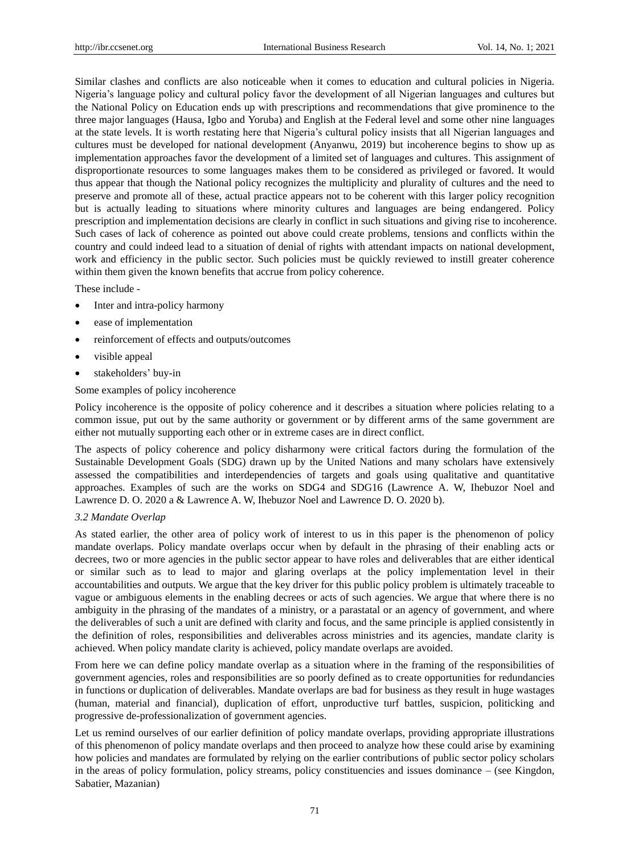Similar clashes and conflicts are also noticeable when it comes to education and cultural policies in Nigeria. Nigeria's language policy and cultural policy favor the development of all Nigerian languages and cultures but the National Policy on Education ends up with prescriptions and recommendations that give prominence to the three major languages (Hausa, Igbo and Yoruba) and English at the Federal level and some other nine languages at the state levels. It is worth restating here that Nigeria's cultural policy insists that all Nigerian languages and cultures must be developed for national development (Anyanwu, 2019) but incoherence begins to show up as implementation approaches favor the development of a limited set of languages and cultures. This assignment of disproportionate resources to some languages makes them to be considered as privileged or favored. It would thus appear that though the National policy recognizes the multiplicity and plurality of cultures and the need to preserve and promote all of these, actual practice appears not to be coherent with this larger policy recognition but is actually leading to situations where minority cultures and languages are being endangered. Policy prescription and implementation decisions are clearly in conflict in such situations and giving rise to incoherence. Such cases of lack of coherence as pointed out above could create problems, tensions and conflicts within the country and could indeed lead to a situation of denial of rights with attendant impacts on national development, work and efficiency in the public sector. Such policies must be quickly reviewed to instill greater coherence within them given the known benefits that accrue from policy coherence.

These include -

- Inter and intra-policy harmony
- ease of implementation
- reinforcement of effects and outputs/outcomes
- visible appeal
- stakeholders' buy-in

## Some examples of policy incoherence

Policy incoherence is the opposite of policy coherence and it describes a situation where policies relating to a common issue, put out by the same authority or government or by different arms of the same government are either not mutually supporting each other or in extreme cases are in direct conflict.

The aspects of policy coherence and policy disharmony were critical factors during the formulation of the Sustainable Development Goals (SDG) drawn up by the United Nations and many scholars have extensively assessed the compatibilities and interdependencies of targets and goals using qualitative and quantitative approaches. Examples of such are the works on SDG4 and SDG16 (Lawrence A. W, Ihebuzor Noel and Lawrence D. O. 2020 a & Lawrence A. W, Ihebuzor Noel and Lawrence D. O. 2020 b).

## *3.2 Mandate Overlap*

As stated earlier, the other area of policy work of interest to us in this paper is the phenomenon of policy mandate overlaps. Policy mandate overlaps occur when by default in the phrasing of their enabling acts or decrees, two or more agencies in the public sector appear to have roles and deliverables that are either identical or similar such as to lead to major and glaring overlaps at the policy implementation level in their accountabilities and outputs. We argue that the key driver for this public policy problem is ultimately traceable to vague or ambiguous elements in the enabling decrees or acts of such agencies. We argue that where there is no ambiguity in the phrasing of the mandates of a ministry, or a parastatal or an agency of government, and where the deliverables of such a unit are defined with clarity and focus, and the same principle is applied consistently in the definition of roles, responsibilities and deliverables across ministries and its agencies, mandate clarity is achieved. When policy mandate clarity is achieved, policy mandate overlaps are avoided.

From here we can define policy mandate overlap as a situation where in the framing of the responsibilities of government agencies, roles and responsibilities are so poorly defined as to create opportunities for redundancies in functions or duplication of deliverables. Mandate overlaps are bad for business as they result in huge wastages (human, material and financial), duplication of effort, unproductive turf battles, suspicion, politicking and progressive de-professionalization of government agencies.

Let us remind ourselves of our earlier definition of policy mandate overlaps, providing appropriate illustrations of this phenomenon of policy mandate overlaps and then proceed to analyze how these could arise by examining how policies and mandates are formulated by relying on the earlier contributions of public sector policy scholars in the areas of policy formulation, policy streams, policy constituencies and issues dominance – (see Kingdon, Sabatier, Mazanian)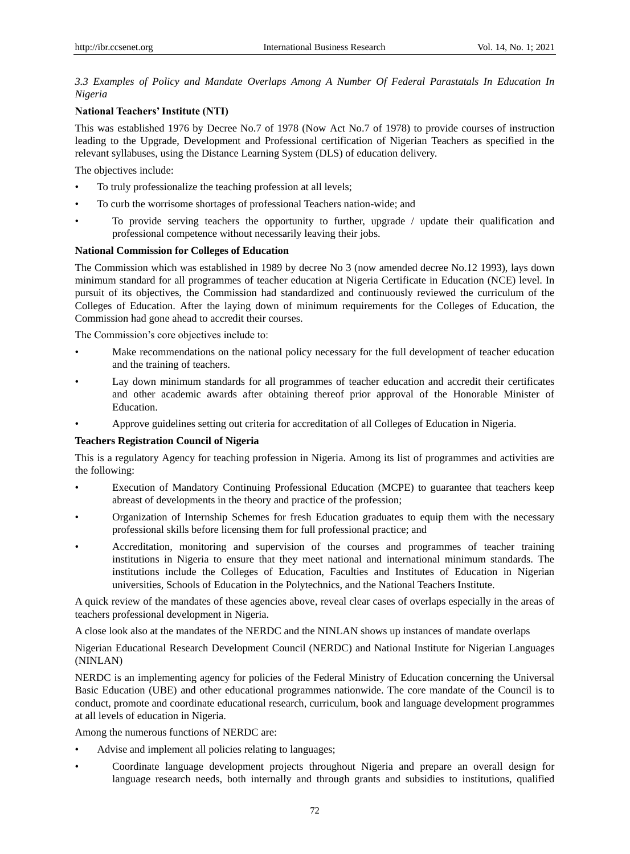# *3.3 Examples of Policy and Mandate Overlaps Among A Number Of Federal Parastatals In Education In Nigeria*

# **National Teachers' Institute (NTI)**

This was established 1976 by Decree No.7 of 1978 (Now Act No.7 of 1978) to provide courses of instruction leading to the Upgrade, Development and Professional certification of Nigerian Teachers as specified in the relevant syllabuses, using the Distance Learning System (DLS) of education delivery.

The objectives include:

- To truly professionalize the teaching profession at all levels;
- To curb the worrisome shortages of professional Teachers nation-wide; and
- To provide serving teachers the opportunity to further, upgrade / update their qualification and professional competence without necessarily leaving their jobs.

## **National Commission for Colleges of Education**

The Commission which was established in 1989 by decree No 3 (now amended decree No.12 1993), lays down minimum standard for all programmes of teacher education at Nigeria Certificate in Education (NCE) level. In pursuit of its objectives, the Commission had standardized and continuously reviewed the curriculum of the Colleges of Education. After the laying down of minimum requirements for the Colleges of Education, the Commission had gone ahead to accredit their courses.

The Commission's core objectives include to:

- Make recommendations on the national policy necessary for the full development of teacher education and the training of teachers.
- Lay down minimum standards for all programmes of teacher education and accredit their certificates and other academic awards after obtaining thereof prior approval of the Honorable Minister of Education.
- Approve guidelines setting out criteria for accreditation of all Colleges of Education in Nigeria.

## **Teachers Registration Council of Nigeria**

This is a regulatory Agency for teaching profession in Nigeria. Among its list of programmes and activities are the following:

- Execution of Mandatory Continuing Professional Education (MCPE) to guarantee that teachers keep abreast of developments in the theory and practice of the profession;
- Organization of Internship Schemes for fresh Education graduates to equip them with the necessary professional skills before licensing them for full professional practice; and
- Accreditation, monitoring and supervision of the courses and programmes of teacher training institutions in Nigeria to ensure that they meet national and international minimum standards. The institutions include the Colleges of Education, Faculties and Institutes of Education in Nigerian universities, Schools of Education in the Polytechnics, and the National Teachers Institute.

A quick review of the mandates of these agencies above, reveal clear cases of overlaps especially in the areas of teachers professional development in Nigeria.

A close look also at the mandates of the NERDC and the NINLAN shows up instances of mandate overlaps

Nigerian Educational Research Development Council (NERDC) and National Institute for Nigerian Languages (NINLAN)

NERDC is an implementing agency for policies of the Federal Ministry of Education concerning the Universal Basic Education (UBE) and other educational programmes nationwide. The core mandate of the Council is to conduct, promote and coordinate educational research, curriculum, book and language development programmes at all levels of education in Nigeria.

Among the numerous functions of NERDC are:

- Advise and implement all policies relating to languages;
- Coordinate language development projects throughout Nigeria and prepare an overall design for language research needs, both internally and through grants and subsidies to institutions, qualified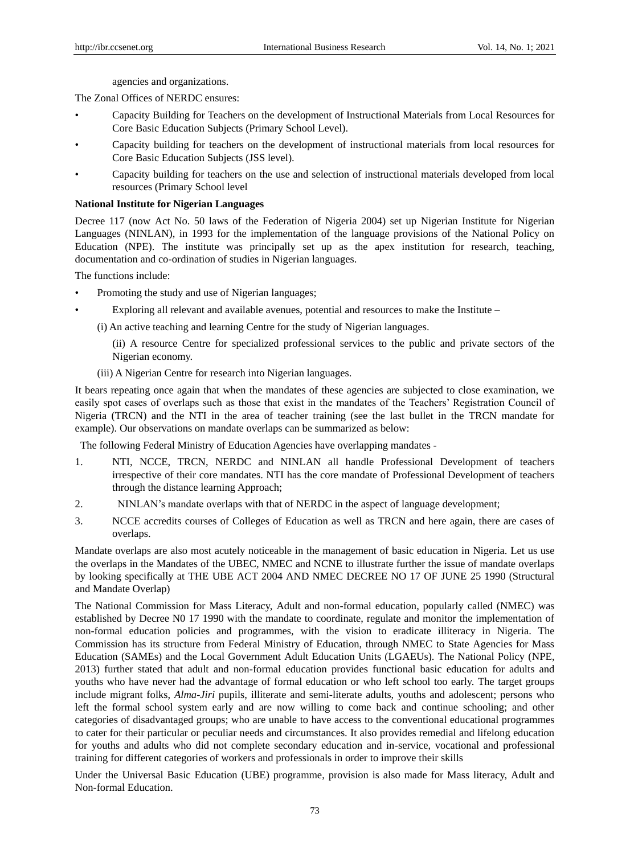agencies and organizations.

The Zonal Offices of NERDC ensures:

- Capacity Building for Teachers on the development of Instructional Materials from Local Resources for Core Basic Education Subjects (Primary School Level).
- Capacity building for teachers on the development of instructional materials from local resources for Core Basic Education Subjects (JSS level).
- Capacity building for teachers on the use and selection of instructional materials developed from local resources (Primary School level

## **National Institute for Nigerian Languages**

Decree 117 (now Act No. 50 laws of the Federation of Nigeria 2004) set up Nigerian Institute for Nigerian Languages (NINLAN), in 1993 for the implementation of the language provisions of the National Policy on Education (NPE). The institute was principally set up as the apex institution for research, teaching, documentation and co-ordination of studies in Nigerian languages.

The functions include:

- Promoting the study and use of Nigerian languages;
	- Exploring all relevant and available avenues, potential and resources to make the Institute –

(i) An active teaching and learning Centre for the study of Nigerian languages.

(ii) A resource Centre for specialized professional services to the public and private sectors of the Nigerian economy.

(iii) A Nigerian Centre for research into Nigerian languages.

It bears repeating once again that when the mandates of these agencies are subjected to close examination, we easily spot cases of overlaps such as those that exist in the mandates of the Teachers' Registration Council of Nigeria (TRCN) and the NTI in the area of teacher training (see the last bullet in the TRCN mandate for example). Our observations on mandate overlaps can be summarized as below:

The following Federal Ministry of Education Agencies have overlapping mandates -

- 1. NTI, NCCE, TRCN, NERDC and NINLAN all handle Professional Development of teachers irrespective of their core mandates. NTI has the core mandate of Professional Development of teachers through the distance learning Approach;
- 2. NINLAN's mandate overlaps with that of NERDC in the aspect of language development;
- 3. NCCE accredits courses of Colleges of Education as well as TRCN and here again, there are cases of overlaps.

Mandate overlaps are also most acutely noticeable in the management of basic education in Nigeria. Let us use the overlaps in the Mandates of the UBEC, NMEC and NCNE to illustrate further the issue of mandate overlaps by looking specifically at THE UBE ACT 2004 AND NMEC DECREE NO 17 OF JUNE 25 1990 (Structural and Mandate Overlap)

The National Commission for Mass Literacy, Adult and non-formal education, popularly called (NMEC) was established by Decree N0 17 1990 with the mandate to coordinate, regulate and monitor the implementation of non-formal education policies and programmes, with the vision to eradicate illiteracy in Nigeria. The Commission has its structure from Federal Ministry of Education, through NMEC to State Agencies for Mass Education (SAMEs) and the Local Government Adult Education Units (LGAEUs). The National Policy (NPE, 2013) further stated that adult and non-formal education provides functional basic education for adults and youths who have never had the advantage of formal education or who left school too early. The target groups include migrant folks, *Alma-Jiri* pupils, illiterate and semi-literate adults, youths and adolescent; persons who left the formal school system early and are now willing to come back and continue schooling; and other categories of disadvantaged groups; who are unable to have access to the conventional educational programmes to cater for their particular or peculiar needs and circumstances. It also provides remedial and lifelong education for youths and adults who did not complete secondary education and in-service, vocational and professional training for different categories of workers and professionals in order to improve their skills

Under the Universal Basic Education (UBE) programme, provision is also made for Mass literacy, Adult and Non-formal Education.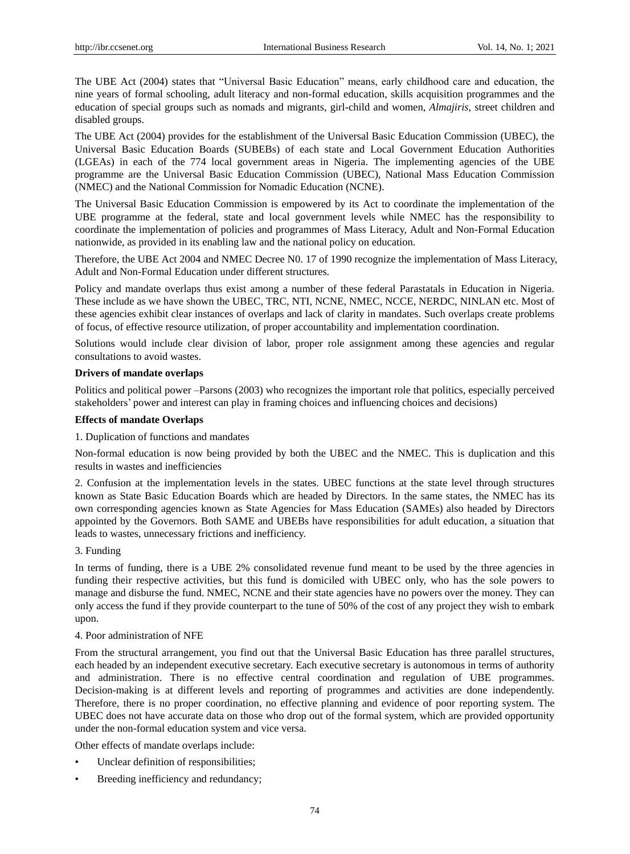The UBE Act (2004) states that "Universal Basic Education" means, early childhood care and education, the nine years of formal schooling, adult literacy and non-formal education, skills acquisition programmes and the education of special groups such as nomads and migrants, girl-child and women, *Almajiris,* street children and disabled groups.

The UBE Act (2004) provides for the establishment of the Universal Basic Education Commission (UBEC), the Universal Basic Education Boards (SUBEBs) of each state and Local Government Education Authorities (LGEAs) in each of the 774 local government areas in Nigeria. The implementing agencies of the UBE programme are the Universal Basic Education Commission (UBEC), National Mass Education Commission (NMEC) and the National Commission for Nomadic Education (NCNE).

The Universal Basic Education Commission is empowered by its Act to coordinate the implementation of the UBE programme at the federal, state and local government levels while NMEC has the responsibility to coordinate the implementation of policies and programmes of Mass Literacy, Adult and Non-Formal Education nationwide, as provided in its enabling law and the national policy on education.

Therefore, the UBE Act 2004 and NMEC Decree N0. 17 of 1990 recognize the implementation of Mass Literacy, Adult and Non-Formal Education under different structures.

Policy and mandate overlaps thus exist among a number of these federal Parastatals in Education in Nigeria. These include as we have shown the UBEC, TRC, NTI, NCNE, NMEC, NCCE, NERDC, NINLAN etc. Most of these agencies exhibit clear instances of overlaps and lack of clarity in mandates. Such overlaps create problems of focus, of effective resource utilization, of proper accountability and implementation coordination.

Solutions would include clear division of labor, proper role assignment among these agencies and regular consultations to avoid wastes.

## **Drivers of mandate overlaps**

Politics and political power –Parsons (2003) who recognizes the important role that politics, especially perceived stakeholders' power and interest can play in framing choices and influencing choices and decisions)

## **Effects of mandate Overlaps**

#### 1. Duplication of functions and mandates

Non-formal education is now being provided by both the UBEC and the NMEC. This is duplication and this results in wastes and inefficiencies

2. Confusion at the implementation levels in the states. UBEC functions at the state level through structures known as State Basic Education Boards which are headed by Directors. In the same states, the NMEC has its own corresponding agencies known as State Agencies for Mass Education (SAMEs) also headed by Directors appointed by the Governors. Both SAME and UBEBs have responsibilities for adult education, a situation that leads to wastes, unnecessary frictions and inefficiency.

# 3. Funding

In terms of funding, there is a UBE 2% consolidated revenue fund meant to be used by the three agencies in funding their respective activities, but this fund is domiciled with UBEC only, who has the sole powers to manage and disburse the fund. NMEC, NCNE and their state agencies have no powers over the money. They can only access the fund if they provide counterpart to the tune of 50% of the cost of any project they wish to embark upon.

#### 4. Poor administration of NFE

From the structural arrangement, you find out that the Universal Basic Education has three parallel structures, each headed by an independent executive secretary. Each executive secretary is autonomous in terms of authority and administration. There is no effective central coordination and regulation of UBE programmes. Decision-making is at different levels and reporting of programmes and activities are done independently. Therefore, there is no proper coordination, no effective planning and evidence of poor reporting system. The UBEC does not have accurate data on those who drop out of the formal system, which are provided opportunity under the non-formal education system and vice versa.

Other effects of mandate overlaps include:

- Unclear definition of responsibilities;
- Breeding inefficiency and redundancy;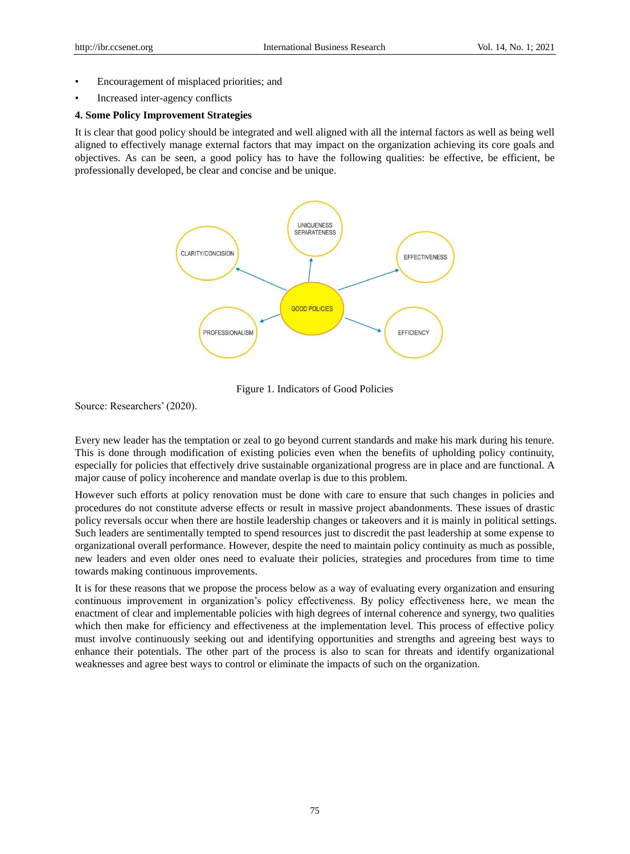- Encouragement of misplaced priorities; and
- Increased inter-agency conflicts

## **4. Some Policy Improvement Strategies**

It is clear that good policy should be integrated and well aligned with all the internal factors as well as being well aligned to effectively manage external factors that may impact on the organization achieving its core goals and objectives. As can be seen, a good policy has to have the following qualities: be effective, be efficient, be professionally developed, be clear and concise and be unique.



Figure 1. Indicators of Good Policies

Source: Researchers' (2020).

Every new leader has the temptation or zeal to go beyond current standards and make his mark during his tenure. This is done through modification of existing policies even when the benefits of upholding policy continuity, especially for policies that effectively drive sustainable organizational progress are in place and are functional. A major cause of policy incoherence and mandate overlap is due to this problem.

However such efforts at policy renovation must be done with care to ensure that such changes in policies and procedures do not constitute adverse effects or result in massive project abandonments. These issues of drastic policy reversals occur when there are hostile leadership changes or takeovers and it is mainly in political settings. Such leaders are sentimentally tempted to spend resources just to discredit the past leadership at some expense to organizational overall performance. However, despite the need to maintain policy continuity as much as possible, new leaders and even older ones need to evaluate their policies, strategies and procedures from time to time towards making continuous improvements.

It is for these reasons that we propose the process below as a way of evaluating every organization and ensuring continuous improvement in organization's policy effectiveness. By policy effectiveness here, we mean the enactment of clear and implementable policies with high degrees of internal coherence and synergy, two qualities which then make for efficiency and effectiveness at the implementation level. This process of effective policy must involve continuously seeking out and identifying opportunities and strengths and agreeing best ways to enhance their potentials. The other part of the process is also to scan for threats and identify organizational weaknesses and agree best ways to control or eliminate the impacts of such on the organization.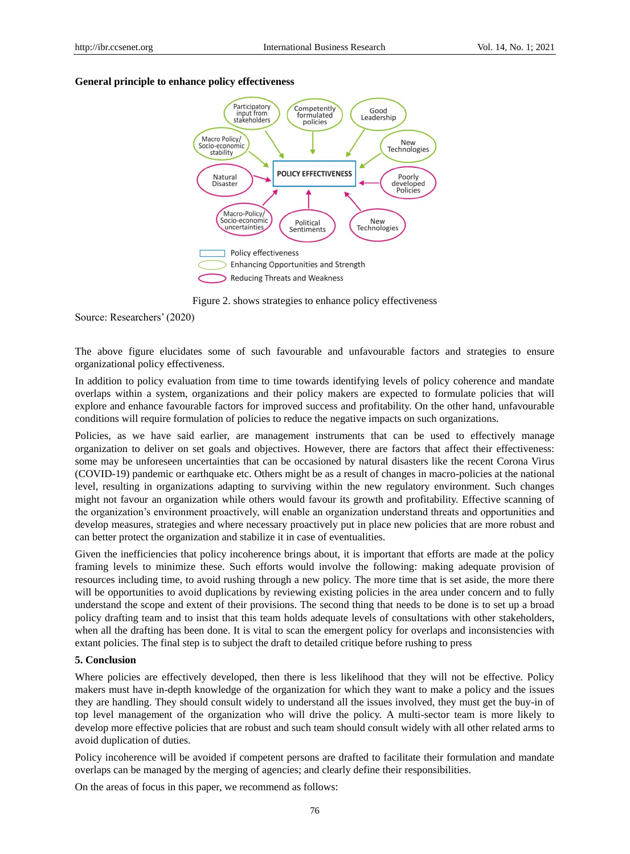## **General principle to enhance policy effectiveness**



Figure 2. shows strategies to enhance policy effectiveness

Source: Researchers' (2020)

The above figure elucidates some of such favourable and unfavourable factors and strategies to ensure organizational policy effectiveness.

In addition to policy evaluation from time to time towards identifying levels of policy coherence and mandate overlaps within a system, organizations and their policy makers are expected to formulate policies that will explore and enhance favourable factors for improved success and profitability. On the other hand, unfavourable conditions will require formulation of policies to reduce the negative impacts on such organizations.

Policies, as we have said earlier, are management instruments that can be used to effectively manage organization to deliver on set goals and objectives. However, there are factors that affect their effectiveness: some may be unforeseen uncertainties that can be occasioned by natural disasters like the recent Corona Virus (COVID-19) pandemic or earthquake etc. Others might be as a result of changes in macro-policies at the national level, resulting in organizations adapting to surviving within the new regulatory environment. Such changes might not favour an organization while others would favour its growth and profitability. Effective scanning of the organization's environment proactively, will enable an organization understand threats and opportunities and develop measures, strategies and where necessary proactively put in place new policies that are more robust and can better protect the organization and stabilize it in case of eventualities.

Given the inefficiencies that policy incoherence brings about, it is important that efforts are made at the policy framing levels to minimize these. Such efforts would involve the following: making adequate provision of resources including time, to avoid rushing through a new policy. The more time that is set aside, the more there will be opportunities to avoid duplications by reviewing existing policies in the area under concern and to fully understand the scope and extent of their provisions. The second thing that needs to be done is to set up a broad policy drafting team and to insist that this team holds adequate levels of consultations with other stakeholders, when all the drafting has been done. It is vital to scan the emergent policy for overlaps and inconsistencies with extant policies. The final step is to subject the draft to detailed critique before rushing to press

#### **5. Conclusion**

Where policies are effectively developed, then there is less likelihood that they will not be effective. Policy makers must have in-depth knowledge of the organization for which they want to make a policy and the issues they are handling. They should consult widely to understand all the issues involved, they must get the buy-in of top level management of the organization who will drive the policy. A multi-sector team is more likely to develop more effective policies that are robust and such team should consult widely with all other related arms to avoid duplication of duties.

Policy incoherence will be avoided if competent persons are drafted to facilitate their formulation and mandate overlaps can be managed by the merging of agencies; and clearly define their responsibilities.

On the areas of focus in this paper, we recommend as follows: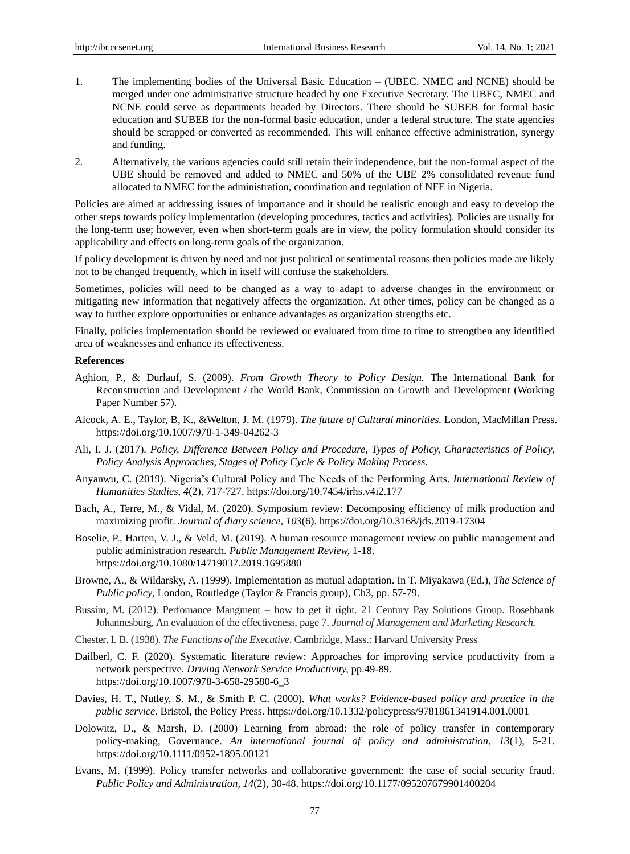- 1. The implementing bodies of the Universal Basic Education (UBEC. NMEC and NCNE) should be merged under one administrative structure headed by one Executive Secretary. The UBEC, NMEC and NCNE could serve as departments headed by Directors. There should be SUBEB for formal basic education and SUBEB for the non-formal basic education, under a federal structure. The state agencies should be scrapped or converted as recommended. This will enhance effective administration, synergy and funding.
- 2. Alternatively, the various agencies could still retain their independence, but the non-formal aspect of the UBE should be removed and added to NMEC and 50% of the UBE 2% consolidated revenue fund allocated to NMEC for the administration, coordination and regulation of NFE in Nigeria.

Policies are aimed at addressing issues of importance and it should be realistic enough and easy to develop the other steps towards policy implementation (developing procedures, tactics and activities). Policies are usually for the long-term use; however, even when short-term goals are in view, the policy formulation should consider its applicability and effects on long-term goals of the organization.

If policy development is driven by need and not just political or sentimental reasons then policies made are likely not to be changed frequently, which in itself will confuse the stakeholders.

Sometimes, policies will need to be changed as a way to adapt to adverse changes in the environment or mitigating new information that negatively affects the organization. At other times, policy can be changed as a way to further explore opportunities or enhance advantages as organization strengths etc.

Finally, policies implementation should be reviewed or evaluated from time to time to strengthen any identified area of weaknesses and enhance its effectiveness.

## **References**

- Aghion, P., & Durlauf, S. (2009). *From Growth Theory to Policy Design.* The International Bank for Reconstruction and Development / the World Bank, Commission on Growth and Development (Working Paper Number 57).
- Alcock, A. E., Taylor, B, K., &Welton, J. M. (1979). *The future of Cultural minorities.* London, MacMillan Press. https://doi.org/10.1007/978-1-349-04262-3
- Ali, I. J. (2017). *Policy, Difference Between Policy and Procedure, Types of Policy, Characteristics of Policy, Policy Analysis Approaches, Stages of Policy Cycle & Policy Making Process.*
- Anyanwu, C. (2019). Nigeria's Cultural Policy and The Needs of the Performing Arts. *International Review of Humanities Studies*, *4*(2), 717-727. https://doi.org/10.7454/irhs.v4i2.177
- Bach, A., Terre, M., & Vidal, M. (2020). Symposium review: Decomposing efficiency of milk production and maximizing profit. *Journal of diary science, 103*(6). https://doi.org/10.3168/jds.2019-17304
- Boselie, P., Harten, V. J., & Veld, M. (2019). A human resource management review on public management and public administration research. *Public Management Review,* 1-18. https://doi.org/10.1080/14719037.2019.1695880
- Browne, A., & Wildarsky, A. (1999). Implementation as mutual adaptation. In T. Miyakawa (Ed.), *The Science of Public policy*, London, Routledge (Taylor & Francis group), Ch3, pp. 57-79.
- Bussim, M. (2012). Perfomance Mangment how to get it right. 21 Century Pay Solutions Group. Rosebbank Johannesburg, An evaluation of the effectiveness, page 7. *Journal of Management and Marketing Research.*
- Chester, I. B. (1938). *The Functions of the Executive*. Cambridge, Mass.: Harvard University Press
- Dailberl, C. F. (2020). Systematic literature review: Approaches for improving service productivity from a network perspective. *Driving Network Service Productivity,* pp.49-89. https://doi.org/10.1007/978-3-658-29580-6\_3
- Davies, H. T., Nutley, S. M., & Smith P. C. (2000). *What works? Evidence-based policy and practice in the public service.* Bristol, the Policy Press. https://doi.org/10.1332/policypress/9781861341914.001.0001
- Dolowitz, D., & Marsh, D. (2000) Learning from abroad: the role of policy transfer in contemporary policy-making, Governance. *An international journal of policy and administration, 13*(1), 5-21. https://doi.org/10.1111/0952-1895.00121
- Evans, M. (1999). Policy transfer networks and collaborative government: the case of social security fraud. *Public Policy and Administration, 14*(2), 30-48. https://doi.org/10.1177/095207679901400204